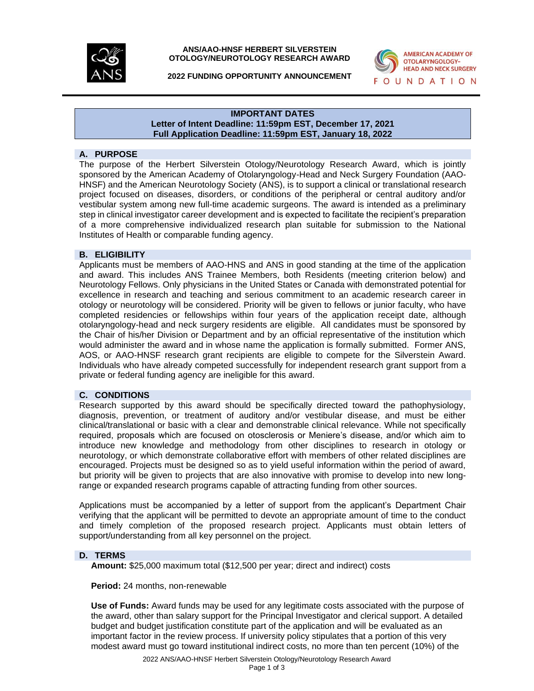

**ANS/AAO-HNSF HERBERT SILVERSTEIN OTOLOGY/NEUROTOLOGY RESEARCH AWARD**



**2022 FUNDING OPPORTUNITY ANNOUNCEMENT**

#### **IMPORTANT DATES Letter of Intent Deadline: 11:59pm EST, December 17, 2021 Full Application Deadline: 11:59pm EST, January 18, 2022**

# **A. PURPOSE**

The purpose of the Herbert Silverstein Otology/Neurotology Research Award, which is jointly sponsored by the American Academy of Otolaryngology-Head and Neck Surgery Foundation (AAO-HNSF) and the American Neurotology Society (ANS), is to support a clinical or translational research project focused on diseases, disorders, or conditions of the peripheral or central auditory and/or vestibular system among new full-time academic surgeons. The award is intended as a preliminary step in clinical investigator career development and is expected to facilitate the recipient's preparation of a more comprehensive individualized research plan suitable for submission to the National Institutes of Health or comparable funding agency.

### **B. ELIGIBILITY**

Applicants must be members of AAO-HNS and ANS in good standing at the time of the application and award. This includes ANS Trainee Members, both Residents (meeting criterion below) and Neurotology Fellows. Only physicians in the United States or Canada with demonstrated potential for excellence in research and teaching and serious commitment to an academic research career in otology or neurotology will be considered. Priority will be given to fellows or junior faculty, who have completed residencies or fellowships within four years of the application receipt date, although otolaryngology-head and neck surgery residents are eligible. All candidates must be sponsored by the Chair of his/her Division or Department and by an official representative of the institution which would administer the award and in whose name the application is formally submitted. Former ANS, AOS, or AAO-HNSF research grant recipients are eligible to compete for the Silverstein Award. Individuals who have already competed successfully for independent research grant support from a private or federal funding agency are ineligible for this award.

### **C. CONDITIONS**

Research supported by this award should be specifically directed toward the pathophysiology, diagnosis, prevention, or treatment of auditory and/or vestibular disease, and must be either clinical/translational or basic with a clear and demonstrable clinical relevance. While not specifically required, proposals which are focused on otosclerosis or Meniere's disease, and/or which aim to introduce new knowledge and methodology from other disciplines to research in otology or neurotology, or which demonstrate collaborative effort with members of other related disciplines are encouraged. Projects must be designed so as to yield useful information within the period of award, but priority will be given to projects that are also innovative with promise to develop into new longrange or expanded research programs capable of attracting funding from other sources.

Applications must be accompanied by a letter of support from the applicant's Department Chair verifying that the applicant will be permitted to devote an appropriate amount of time to the conduct and timely completion of the proposed research project. Applicants must obtain letters of support/understanding from all key personnel on the project.

## **D. TERMS**

**Amount:** \$25,000 maximum total (\$12,500 per year; direct and indirect) costs

**Period:** 24 months, non-renewable

**Use of Funds:** Award funds may be used for any legitimate costs associated with the purpose of the award, other than salary support for the Principal Investigator and clerical support. A detailed budget and budget justification constitute part of the application and will be evaluated as an important factor in the review process. If university policy stipulates that a portion of this very modest award must go toward institutional indirect costs, no more than ten percent (10%) of the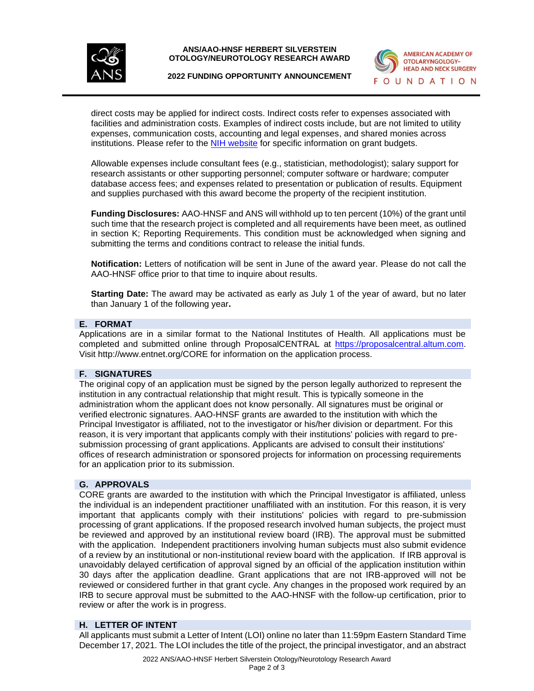

**ANS/AAO-HNSF HERBERT SILVERSTEIN OTOLOGY/NEUROTOLOGY RESEARCH AWARD**



**2022 FUNDING OPPORTUNITY ANNOUNCEMENT**

direct costs may be applied for indirect costs. Indirect costs refer to expenses associated with facilities and administration costs. Examples of indirect costs include, but are not limited to utility expenses, communication costs, accounting and legal expenses, and shared monies across institutions. Please refer to the **NIH website** for specific information on grant budgets.

Allowable expenses include consultant fees (e.g., statistician, methodologist); salary support for research assistants or other supporting personnel; computer software or hardware; computer database access fees; and expenses related to presentation or publication of results. Equipment and supplies purchased with this award become the property of the recipient institution.

**Funding Disclosures:** AAO-HNSF and ANS will withhold up to ten percent (10%) of the grant until such time that the research project is completed and all requirements have been meet, as outlined in section K; Reporting Requirements. This condition must be acknowledged when signing and submitting the terms and conditions contract to release the initial funds.

**Notification:** Letters of notification will be sent in June of the award year. Please do not call the AAO-HNSF office prior to that time to inquire about results.

**Starting Date:** The award may be activated as early as July 1 of the year of award, but no later than January 1 of the following year**.** 

# **E. FORMAT**

Applications are in a similar format to the National Institutes of Health. All applications must be completed and submitted online through ProposalCENTRAL at [https://proposalcentral.altum.com.](https://proposalcentral.altum.com./) Visit<http://www.entnet.org/CORE> for information on the application process.

# **F. SIGNATURES**

The original copy of an application must be signed by the person legally authorized to represent the institution in any contractual relationship that might result. This is typically someone in the administration whom the applicant does not know personally. All signatures must be original or verified electronic signatures. AAO-HNSF grants are awarded to the institution with which the Principal Investigator is affiliated, not to the investigator or his/her division or department. For this reason, it is very important that applicants comply with their institutions' policies with regard to presubmission processing of grant applications. Applicants are advised to consult their institutions' offices of research administration or sponsored projects for information on processing requirements for an application prior to its submission.

## **G. APPROVALS**

CORE grants are awarded to the institution with which the Principal Investigator is affiliated, unless the individual is an independent practitioner unaffiliated with an institution. For this reason, it is very important that applicants comply with their institutions' policies with regard to pre-submission processing of grant applications. If the proposed research involved human subjects, the project must be reviewed and approved by an institutional review board (IRB). The approval must be submitted with the application. Independent practitioners involving human subjects must also submit evidence of a review by an institutional or non-institutional review board with the application. If IRB approval is unavoidably delayed certification of approval signed by an official of the application institution within 30 days after the application deadline. Grant applications that are not IRB-approved will not be reviewed or considered further in that grant cycle. Any changes in the proposed work required by an IRB to secure approval must be submitted to the AAO-HNSF with the follow-up certification, prior to review or after the work is in progress.

### **H. LETTER OF INTENT**

All applicants must submit a Letter of Intent (LOI) online no later than 11:59pm Eastern Standard Time December 17, 2021. The LOI includes the title of the project, the principal investigator, and an abstract